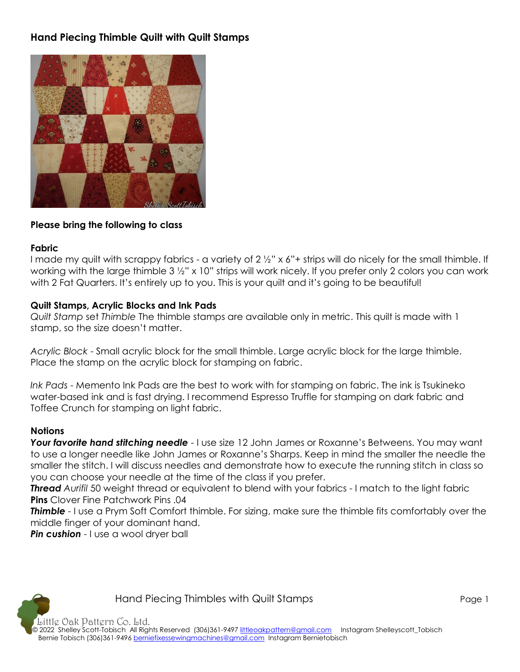# **Hand Piecing Thimble Quilt with Quilt Stamps**



#### **Please bring the following to class**

#### **Fabric**

I made my quilt with scrappy fabrics - a variety of 2 1/2" x 6"+ strips will do nicely for the small thimble. If working with the large thimble 3 ½" x 10" strips will work nicely. If you prefer only 2 colors you can work with 2 Fat Quarters. It's entirely up to you. This is your quilt and it's going to be beautiful!

#### **Quilt Stamps, Acrylic Blocks and Ink Pads**

*Quilt Stamp* set *Thimble* The thimble stamps are available only in metric. This quilt is made with 1 stamp, so the size doesn't matter.

*Acrylic Block* - Small acrylic block for the small thimble. Large acrylic block for the large thimble. Place the stamp on the acrylic block for stamping on fabric.

*Ink Pads* - Memento Ink Pads are the best to work with for stamping on fabric. The ink is Tsukineko water-based ink and is fast drying. I recommend Espresso Truffle for stamping on dark fabric and Toffee Crunch for stamping on light fabric.

#### **Notions**

**Your favorite hand stitching needle** - I use size 12 John James or Roxanne's Betweens. You may want to use a longer needle like John James or Roxanne's Sharps. Keep in mind the smaller the needle the smaller the stitch. I will discuss needles and demonstrate how to execute the running stitch in class so you can choose your needle at the time of the class if you prefer.

*Thread Aurifil* 50 weight thread or equivalent to blend with your fabrics - I match to the light fabric **Pins** Clover Fine Patchwork Pins .04

**Thimble** - I use a Prym Soft Comfort thimble. For sizing, make sure the thimble fits comfortably over the middle finger of your dominant hand.

**Pin cushion** - I use a wool dryer ball



Little Oak Pattern Co. Ltd. © 2022 Shelley Scott-Tobisch All Rights Reserved (306)361-9497 [littleoakpattern@gmail.com](mailto:littleoakpattern@gmail.com) Instagram Shelleyscott\_Tobisch Bernie Tobisch (306)361-9496 [berniefixessewingmachines@gmail.com](mailto:berniefixessewingmachines@gmail.com) Instagram Bernietobisch